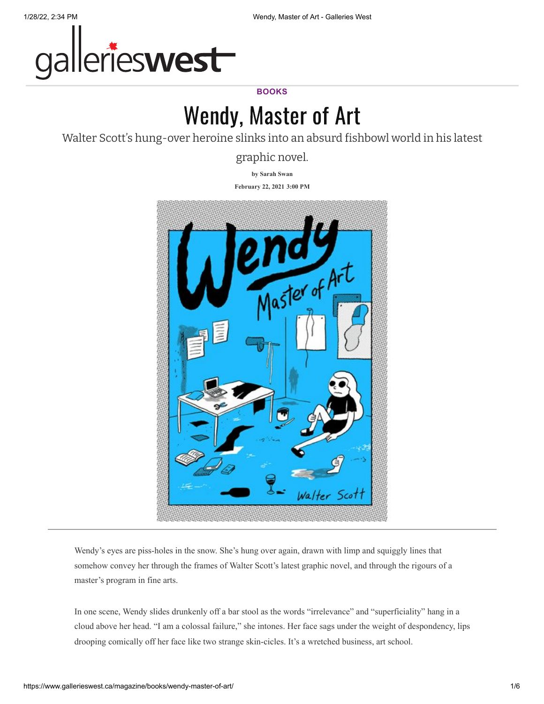

## **BOOKS**

## Wendy, Master of Art

Walter Scott's hung-over heroine slinks into an absurd fishbowl world in his latest

graphic novel.

**by [Sarah Swan](https://www.gallerieswest.ca/topics/sarah_swan/)**

**February 22, 2021 3:00 PM**



Wendy's eyes are piss-holes in the snow. She's hung over again, drawn with limp and squiggly lines that somehow convey her through the frames of Walter Scott's latest graphic novel, and through the rigours of a master's program in fine arts.

In one scene, Wendy slides drunkenly off a bar stool as the words "irrelevance" and "superficiality" hang in a cloud above her head. "I am a colossal failure," she intones. Her face sags under the weight of despondency, lips drooping comically off her face like two strange skin-cicles. It's a wretched business, art school.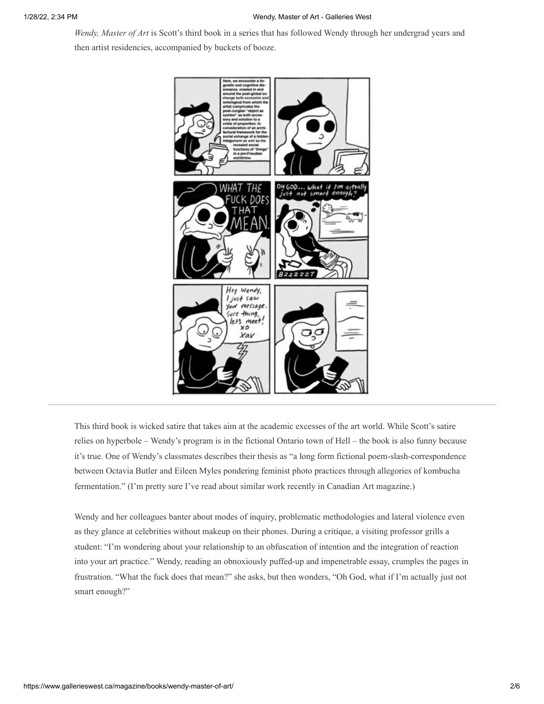*Wendy, Master of Art* is Scott's third book in a series that has followed Wendy through her undergrad years and then artist residencies, accompanied by buckets of booze.



This third book is wicked satire that takes aim at the academic excesses of the art world. While Scott's satire relies on hyperbole – Wendy's program is in the fictional Ontario town of Hell – the book is also funny because it's true. One of Wendy's classmates describes their thesis as "a long form fictional poem-slash-correspondence between Octavia Butler and Eileen Myles pondering feminist photo practices through allegories of kombucha fermentation." (I'm pretty sure I've read about similar work recently in Canadian Art magazine.)

Wendy and her colleagues banter about modes of inquiry, problematic methodologies and lateral violence even as they glance at celebrities without makeup on their phones. During a critique, a visiting professor grills a student: "I'm wondering about your relationship to an obfuscation of intention and the integration of reaction into your art practice." Wendy, reading an obnoxiously puffed-up and impenetrable essay, crumples the pages in frustration. "What the fuck does that mean?" she asks, but then wonders, "Oh God, what if I'm actually just not smart enough?"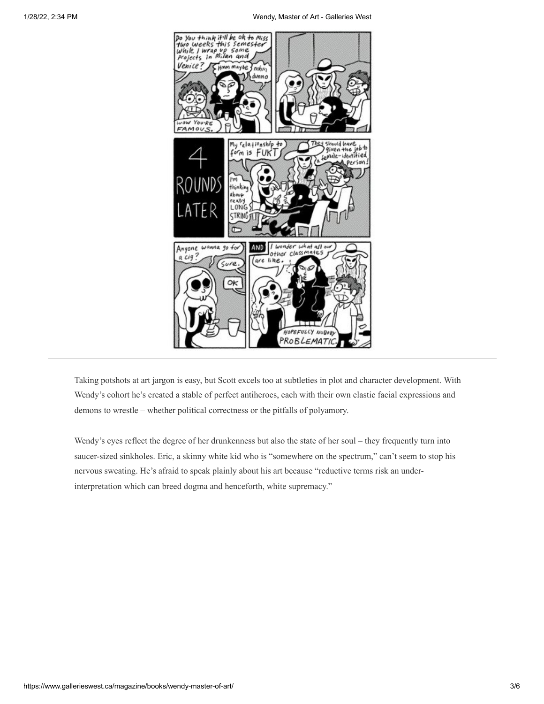

Taking potshots at art jargon is easy, but Scott excels too at subtleties in plot and character development. With Wendy's cohort he's created a stable of perfect antiheroes, each with their own elastic facial expressions and demons to wrestle – whether political correctness or the pitfalls of polyamory.

Wendy's eyes reflect the degree of her drunkenness but also the state of her soul – they frequently turn into saucer-sized sinkholes. Eric, a skinny white kid who is "somewhere on the spectrum," can't seem to stop his nervous sweating. He's afraid to speak plainly about his art because "reductive terms risk an underinterpretation which can breed dogma and henceforth, white supremacy."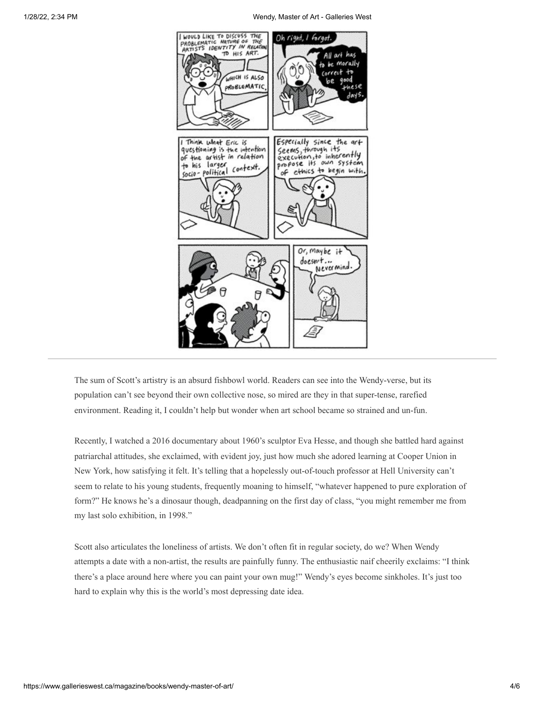

The sum of Scott's artistry is an absurd fishbowl world. Readers can see into the Wendy-verse, but its population can't see beyond their own collective nose, so mired are they in that super-tense, rarefied environment. Reading it, I couldn't help but wonder when art school became so strained and un-fun.

Recently, I watched a 2016 documentary about 1960's sculptor Eva Hesse, and though she battled hard against patriarchal attitudes, she exclaimed, with evident joy, just how much she adored learning at Cooper Union in New York, how satisfying it felt. It's telling that a hopelessly out-of-touch professor at Hell University can't seem to relate to his young students, frequently moaning to himself, "whatever happened to pure exploration of form?" He knows he's a dinosaur though, deadpanning on the first day of class, "you might remember me from my last solo exhibition, in 1998."

Scott also articulates the loneliness of artists. We don't often fit in regular society, do we? When Wendy attempts a date with a non-artist, the results are painfully funny. The enthusiastic naif cheerily exclaims: "I think there's a place around here where you can paint your own mug!" Wendy's eyes become sinkholes. It's just too hard to explain why this is the world's most depressing date idea.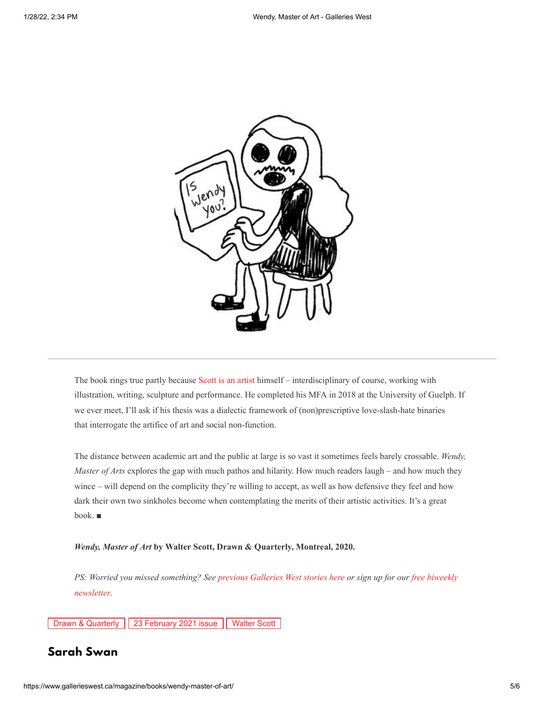

The book rings true partly because [Scott is an artist](https://www.gallerieswest.ca/magazine/stories/betazoid-in-a-fog/) himself – interdisciplinary of course, working with illustration, writing, sculpture and performance. He completed his MFA in 2018 at the University of Guelph. If we ever meet, I'll ask if his thesis was a dialectic framework of (non)prescriptive love-slash-hate binaries that interrogate the artifice of art and social non-function.

The distance between academic art and the public at large is so vast it sometimes feels barely crossable. *Wendy, Master of Arts* explores the gap with much pathos and hilarity. How much readers laugh – and how much they wince – will depend on the complicity they're willing to accept, as well as how defensive they feel and how dark their own two sinkholes become when contemplating the merits of their artistic activities. It's a great book. ■

*Wendy, Master of Art* **by Walter Scott, Drawn & Quarterly, Montreal, 2020.**

*[PS: Worried you missed something? See](https://gallerieswest.us13.list-manage.com/subscribe/post?u=55b2dae904bc1f91cb5f651ef&id=703832b9ae) [previous Galleries West](https://www.gallerieswest.ca/magazine/stories) stories here or sign up for our free biweekly newsletter.*

[Drawn & Quarterly](https://www.gallerieswest.ca/topics/drawn-quarterly/) [23 February 2021 issue](https://www.gallerieswest.ca/topics/23-february-2021-issue/) [Walter Scott](https://www.gallerieswest.ca/topics/walter-scott/)

## **[Sarah Swan](https://www.gallerieswest.ca/topics/sarah_swan/)**